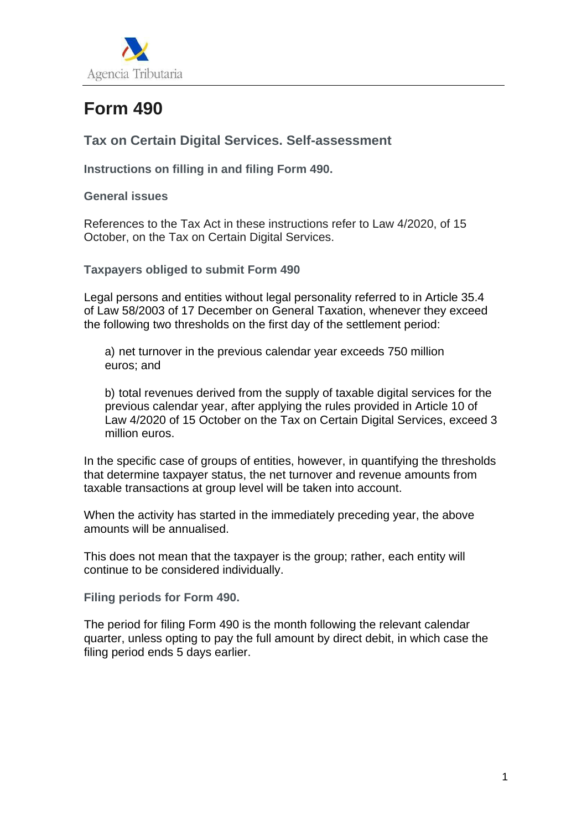

# **Form 490**

# **Tax on Certain Digital Services. Self-assessment**

**Instructions on filling in and filing Form 490.**

**General issues**

References to the Tax Act in these instructions refer to Law 4/2020, of 15 October, on the Tax on Certain Digital Services.

**Taxpayers obliged to submit Form 490**

Legal persons and entities without legal personality referred to in Article 35.4 of Law 58/2003 of 17 December on General Taxation, whenever they exceed the following two thresholds on the first day of the settlement period:

a) net turnover in the previous calendar year exceeds 750 million euros; and

b) total revenues derived from the supply of taxable digital services for the previous calendar year, after applying the rules provided in Article 10 of Law 4/2020 of 15 October on the Tax on Certain Digital Services, exceed 3 million euros.

In the specific case of groups of entities, however, in quantifying the thresholds that determine taxpayer status, the net turnover and revenue amounts from taxable transactions at group level will be taken into account.

When the activity has started in the immediately preceding year, the above amounts will be annualised.

This does not mean that the taxpayer is the group; rather, each entity will continue to be considered individually.

**Filing periods for Form 490.**

The period for filing Form 490 is the month following the relevant calendar quarter, unless opting to pay the full amount by direct debit, in which case the filing period ends 5 days earlier.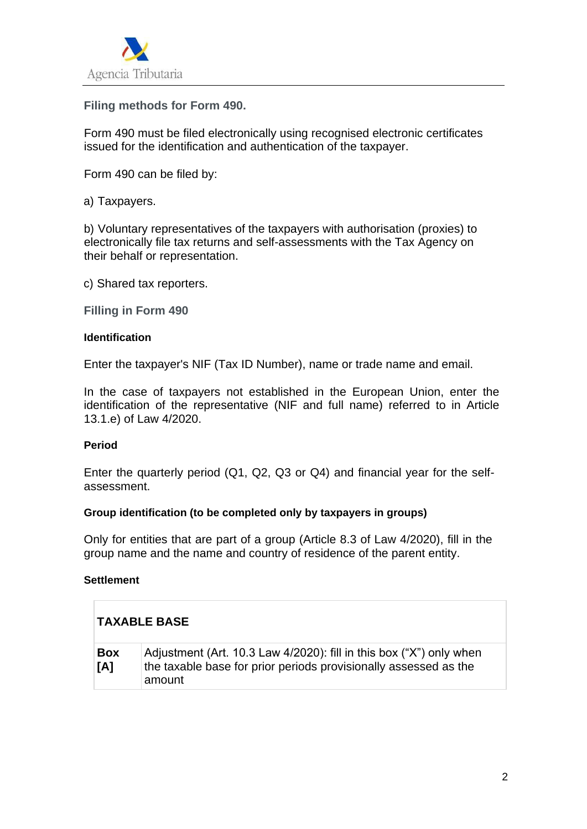

**Filing methods for Form 490.**

Form 490 must be filed electronically using recognised electronic certificates issued for the identification and authentication of the taxpayer.

Form 490 can be filed by:

a) Taxpayers.

b) Voluntary representatives of the taxpayers with authorisation (proxies) to electronically file tax returns and self-assessments with the Tax Agency on their behalf or representation.

c) Shared tax reporters.

**Filling in Form 490**

#### **Identification**

Enter the taxpayer's NIF (Tax ID Number), name or trade name and email.

In the case of taxpayers not established in the European Union, enter the identification of the representative (NIF and full name) referred to in Article 13.1.e) of Law 4/2020.

#### **Period**

Enter the quarterly period (Q1, Q2, Q3 or Q4) and financial year for the selfassessment.

#### **Group identification (to be completed only by taxpayers in groups)**

Only for entities that are part of a group (Article 8.3 of Law 4/2020), fill in the group name and the name and country of residence of the parent entity.

#### **Settlement**

#### **TAXABLE BASE**

| <b>Box</b> | Adjustment (Art. 10.3 Law 4/2020): fill in this box ("X") only when |
|------------|---------------------------------------------------------------------|
| [A]        | the taxable base for prior periods provisionally assessed as the    |
|            | amount                                                              |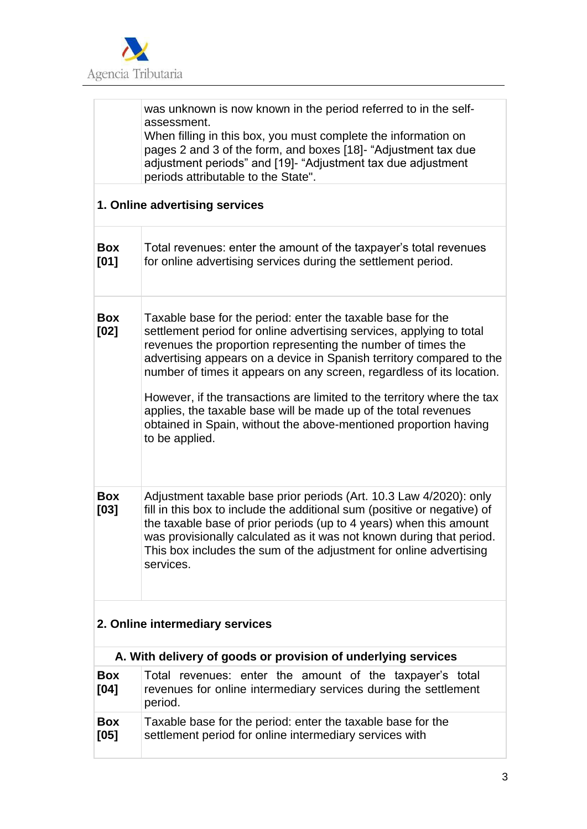

was unknown is now known in the period referred to in the selfassessment.

When filling in this box, you must complete the information on pages 2 and 3 of the form, and boxes [18]- "Adjustment tax due adjustment periods" and [19]- "Adjustment tax due adjustment periods attributable to the State".

## **1. Online advertising services**

| <b>Box</b><br>[01] | Total revenues: enter the amount of the taxpayer's total revenues<br>for online advertising services during the settlement period.                                                                                                                                                                                                                                                                                                                                                                                                                                                       |
|--------------------|------------------------------------------------------------------------------------------------------------------------------------------------------------------------------------------------------------------------------------------------------------------------------------------------------------------------------------------------------------------------------------------------------------------------------------------------------------------------------------------------------------------------------------------------------------------------------------------|
| <b>Box</b><br>[02] | Taxable base for the period: enter the taxable base for the<br>settlement period for online advertising services, applying to total<br>revenues the proportion representing the number of times the<br>advertising appears on a device in Spanish territory compared to the<br>number of times it appears on any screen, regardless of its location.<br>However, if the transactions are limited to the territory where the tax<br>applies, the taxable base will be made up of the total revenues<br>obtained in Spain, without the above-mentioned proportion having<br>to be applied. |
| <b>Box</b><br>[03] | Adjustment taxable base prior periods (Art. 10.3 Law 4/2020): only<br>fill in this box to include the additional sum (positive or negative) of<br>the taxable base of prior periods (up to 4 years) when this amount<br>was provisionally calculated as it was not known during that period.<br>This box includes the sum of the adjustment for online advertising<br>services.                                                                                                                                                                                                          |

## **2. Online intermediary services**

| A. With delivery of goods or provision of underlying services |                                                                                                                                        |  |
|---------------------------------------------------------------|----------------------------------------------------------------------------------------------------------------------------------------|--|
| <b>Box</b><br>[04]                                            | Total revenues: enter the amount of the taxpayer's total<br>revenues for online intermediary services during the settlement<br>period. |  |
| <b>Box</b><br>[05]                                            | Taxable base for the period: enter the taxable base for the<br>settlement period for online intermediary services with                 |  |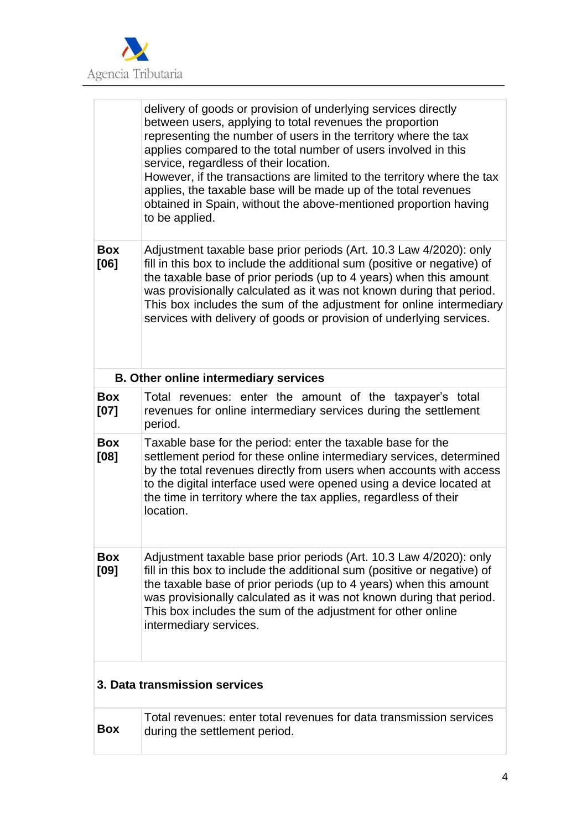

|                               | delivery of goods or provision of underlying services directly<br>between users, applying to total revenues the proportion<br>representing the number of users in the territory where the tax<br>applies compared to the total number of users involved in this<br>service, regardless of their location.<br>However, if the transactions are limited to the territory where the tax<br>applies, the taxable base will be made up of the total revenues<br>obtained in Spain, without the above-mentioned proportion having<br>to be applied. |
|-------------------------------|-----------------------------------------------------------------------------------------------------------------------------------------------------------------------------------------------------------------------------------------------------------------------------------------------------------------------------------------------------------------------------------------------------------------------------------------------------------------------------------------------------------------------------------------------|
| <b>Box</b><br>[06]            | Adjustment taxable base prior periods (Art. 10.3 Law 4/2020): only<br>fill in this box to include the additional sum (positive or negative) of<br>the taxable base of prior periods (up to 4 years) when this amount<br>was provisionally calculated as it was not known during that period.<br>This box includes the sum of the adjustment for online intermediary<br>services with delivery of goods or provision of underlying services.                                                                                                   |
|                               | <b>B. Other online intermediary services</b>                                                                                                                                                                                                                                                                                                                                                                                                                                                                                                  |
| <b>Box</b><br>[07]            | Total revenues: enter the amount of the taxpayer's total<br>revenues for online intermediary services during the settlement<br>period.                                                                                                                                                                                                                                                                                                                                                                                                        |
| <b>Box</b><br>[08]            | Taxable base for the period: enter the taxable base for the<br>settlement period for these online intermediary services, determined<br>by the total revenues directly from users when accounts with access<br>to the digital interface used were opened using a device located at<br>the time in territory where the tax applies, regardless of their<br>location.                                                                                                                                                                            |
| <b>Box</b><br>[09]            | Adjustment taxable base prior periods (Art. 10.3 Law 4/2020): only<br>fill in this box to include the additional sum (positive or negative) of<br>the taxable base of prior periods (up to 4 years) when this amount<br>was provisionally calculated as it was not known during that period.<br>This box includes the sum of the adjustment for other online<br>intermediary services.                                                                                                                                                        |
| 3. Data transmission services |                                                                                                                                                                                                                                                                                                                                                                                                                                                                                                                                               |
| <b>Box</b>                    | Total revenues: enter total revenues for data transmission services<br>during the settlement period.                                                                                                                                                                                                                                                                                                                                                                                                                                          |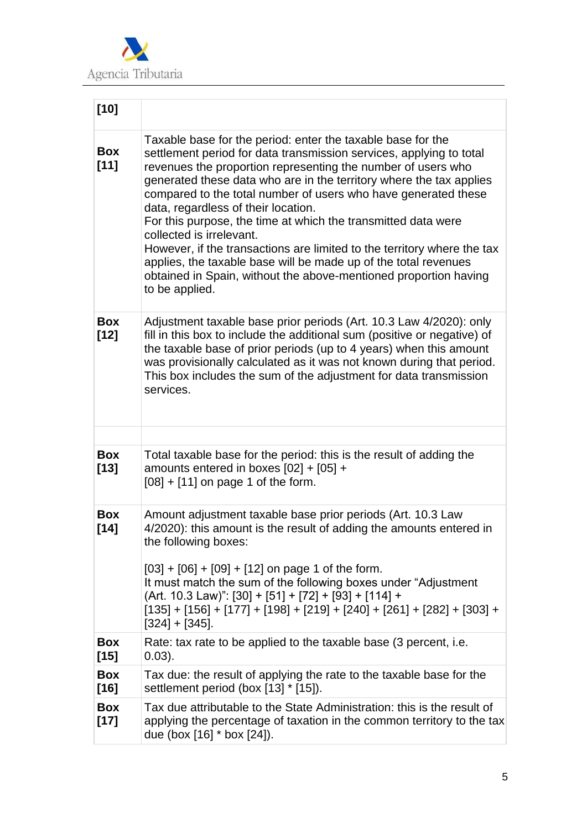

| [10]                 |                                                                                                                                                                                                                                                                                                                                                                                                                                                                                                                                                                                                                                                                                                                     |
|----------------------|---------------------------------------------------------------------------------------------------------------------------------------------------------------------------------------------------------------------------------------------------------------------------------------------------------------------------------------------------------------------------------------------------------------------------------------------------------------------------------------------------------------------------------------------------------------------------------------------------------------------------------------------------------------------------------------------------------------------|
| <b>Box</b><br>$[11]$ | Taxable base for the period: enter the taxable base for the<br>settlement period for data transmission services, applying to total<br>revenues the proportion representing the number of users who<br>generated these data who are in the territory where the tax applies<br>compared to the total number of users who have generated these<br>data, regardless of their location.<br>For this purpose, the time at which the transmitted data were<br>collected is irrelevant.<br>However, if the transactions are limited to the territory where the tax<br>applies, the taxable base will be made up of the total revenues<br>obtained in Spain, without the above-mentioned proportion having<br>to be applied. |
| <b>Box</b><br>$[12]$ | Adjustment taxable base prior periods (Art. 10.3 Law 4/2020): only<br>fill in this box to include the additional sum (positive or negative) of<br>the taxable base of prior periods (up to 4 years) when this amount<br>was provisionally calculated as it was not known during that period.<br>This box includes the sum of the adjustment for data transmission<br>services.                                                                                                                                                                                                                                                                                                                                      |
|                      |                                                                                                                                                                                                                                                                                                                                                                                                                                                                                                                                                                                                                                                                                                                     |
| <b>Box</b><br>$[13]$ | Total taxable base for the period: this is the result of adding the<br>amounts entered in boxes $[02] + [05] +$<br>$[08] + [11]$ on page 1 of the form.                                                                                                                                                                                                                                                                                                                                                                                                                                                                                                                                                             |
| <b>Box</b><br>$[14]$ | Amount adjustment taxable base prior periods (Art. 10.3 Law<br>4/2020): this amount is the result of adding the amounts entered in<br>the following boxes:<br>$[03] + [06] + [09] + [12]$ on page 1 of the form.<br>It must match the sum of the following boxes under "Adjustment"<br>(Art. 10.3 Law)": [30] + [51] + [72] + [93] + [114] +<br>$[135] + [156] + [177] + [198] + [219] + [240] + [261] + [282] + [303] +$<br>$[324] + [345]$ .                                                                                                                                                                                                                                                                      |
| <b>Box</b><br>$[15]$ | Rate: tax rate to be applied to the taxable base (3 percent, i.e.<br>$0.03$ ).                                                                                                                                                                                                                                                                                                                                                                                                                                                                                                                                                                                                                                      |
| <b>Box</b><br>$[16]$ | Tax due: the result of applying the rate to the taxable base for the<br>settlement period (box [13] * [15]).                                                                                                                                                                                                                                                                                                                                                                                                                                                                                                                                                                                                        |
| <b>Box</b><br>$[17]$ | Tax due attributable to the State Administration: this is the result of<br>applying the percentage of taxation in the common territory to the tax<br>due (box [16] * box [24]).                                                                                                                                                                                                                                                                                                                                                                                                                                                                                                                                     |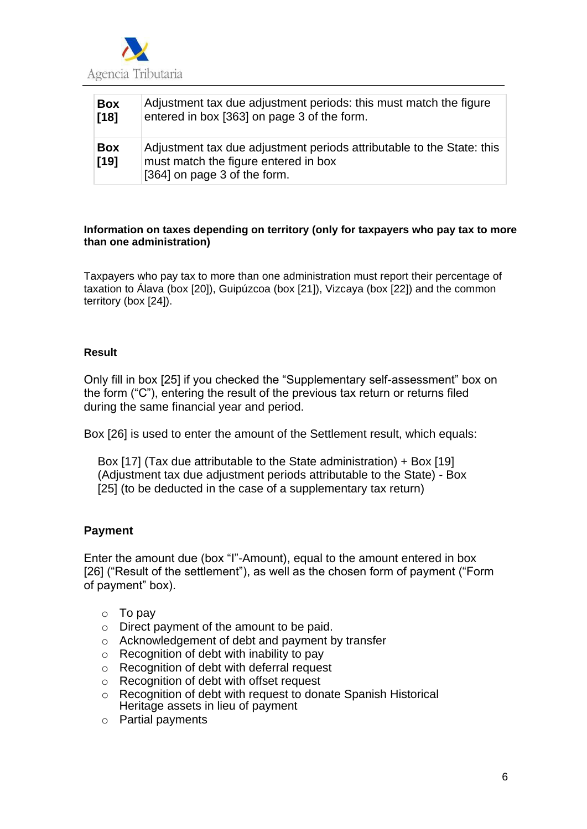

| <b>Box</b>           | Adjustment tax due adjustment periods: this must match the figure                                                                             |
|----------------------|-----------------------------------------------------------------------------------------------------------------------------------------------|
| $[18]$               | entered in box [363] on page 3 of the form.                                                                                                   |
| <b>Box</b><br>$[19]$ | Adjustment tax due adjustment periods attributable to the State: this<br>must match the figure entered in box<br>[364] on page 3 of the form. |

#### **Information on taxes depending on territory (only for taxpayers who pay tax to more than one administration)**

Taxpayers who pay tax to more than one administration must report their percentage of taxation to Álava (box [20]), Guipúzcoa (box [21]), Vizcaya (box [22]) and the common territory (box [24]).

#### **Result**

Only fill in box [25] if you checked the "Supplementary self-assessment" box on the form ("C"), entering the result of the previous tax return or returns filed during the same financial year and period.

Box [26] is used to enter the amount of the Settlement result, which equals:

Box [17] (Tax due attributable to the State administration) + Box [19] (Adjustment tax due adjustment periods attributable to the State) - Box [25] (to be deducted in the case of a supplementary tax return)

#### **Payment**

Enter the amount due (box "I"-Amount), equal to the amount entered in box [26] ("Result of the settlement"), as well as the chosen form of payment ("Form of payment" box).

- $\circ$  To pay
- o Direct payment of the amount to be paid.
- o Acknowledgement of debt and payment by transfer
- $\circ$  Recognition of debt with inability to pay
- o Recognition of debt with deferral request
- o Recognition of debt with offset request
- o Recognition of debt with request to donate Spanish Historical Heritage assets in lieu of payment
- o Partial payments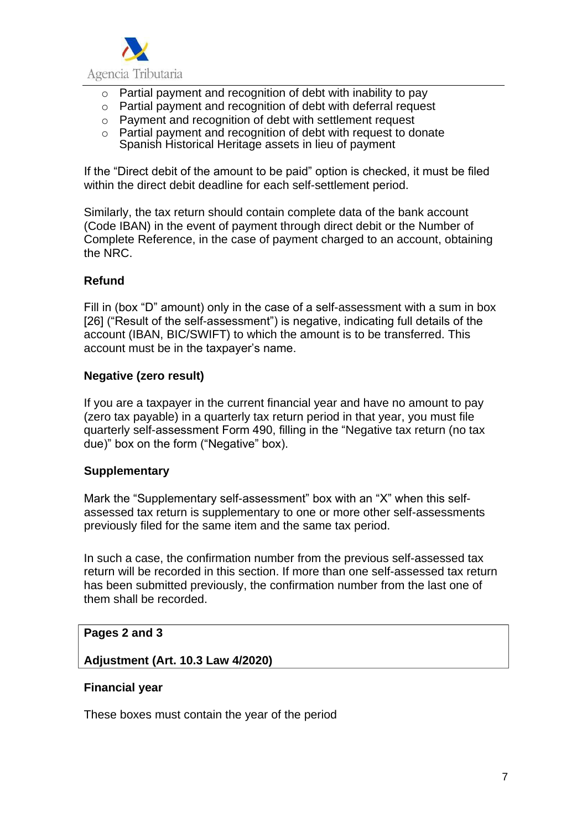

- o Partial payment and recognition of debt with inability to pay
- o Partial payment and recognition of debt with deferral request
- o Payment and recognition of debt with settlement request
- o Partial payment and recognition of debt with request to donate Spanish Historical Heritage assets in lieu of payment

If the "Direct debit of the amount to be paid" option is checked, it must be filed within the direct debit deadline for each self-settlement period.

Similarly, the tax return should contain complete data of the bank account (Code IBAN) in the event of payment through direct debit or the Number of Complete Reference, in the case of payment charged to an account, obtaining the NRC.

## **Refund**

Fill in (box "D" amount) only in the case of a self-assessment with a sum in box [26] ("Result of the self-assessment") is negative, indicating full details of the account (IBAN, BIC/SWIFT) to which the amount is to be transferred. This account must be in the taxpayer's name.

## **Negative (zero result)**

If you are a taxpayer in the current financial year and have no amount to pay (zero tax payable) in a quarterly tax return period in that year, you must file quarterly self-assessment Form 490, filling in the "Negative tax return (no tax due)" box on the form ("Negative" box).

#### **Supplementary**

Mark the "Supplementary self-assessment" box with an "X" when this selfassessed tax return is supplementary to one or more other self-assessments previously filed for the same item and the same tax period.

In such a case, the confirmation number from the previous self-assessed tax return will be recorded in this section. If more than one self-assessed tax return has been submitted previously, the confirmation number from the last one of them shall be recorded.

#### **Pages 2 and 3**

#### **Adjustment (Art. 10.3 Law 4/2020)**

#### **Financial year**

These boxes must contain the year of the period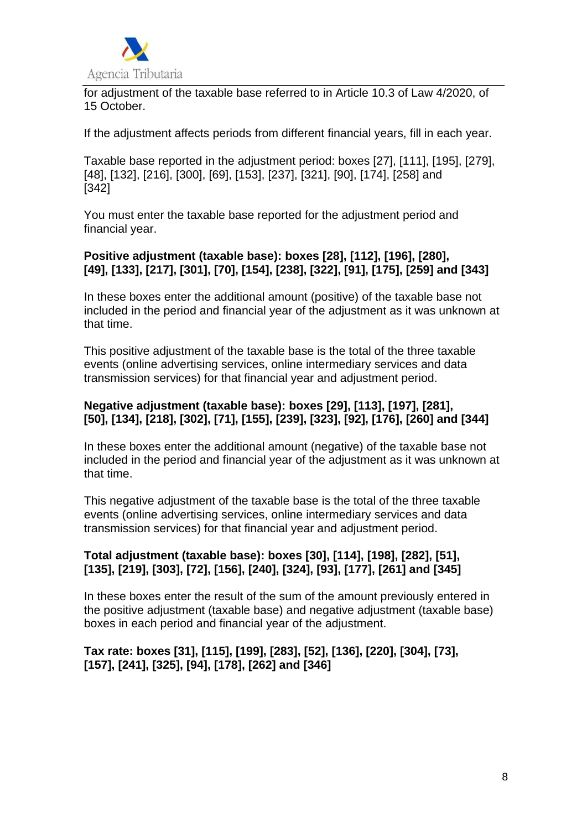

for adjustment of the taxable base referred to in Article 10.3 of Law 4/2020, of 15 October.

If the adjustment affects periods from different financial years, fill in each year.

Taxable base reported in the adjustment period: boxes [27], [111], [195], [279], [48], [132], [216], [300], [69], [153], [237], [321], [90], [174], [258] and [342]

You must enter the taxable base reported for the adjustment period and financial year.

## **Positive adjustment (taxable base): boxes [28], [112], [196], [280], [49], [133], [217], [301], [70], [154], [238], [322], [91], [175], [259] and [343]**

In these boxes enter the additional amount (positive) of the taxable base not included in the period and financial year of the adjustment as it was unknown at that time.

This positive adjustment of the taxable base is the total of the three taxable events (online advertising services, online intermediary services and data transmission services) for that financial year and adjustment period.

### **Negative adjustment (taxable base): boxes [29], [113], [197], [281], [50], [134], [218], [302], [71], [155], [239], [323], [92], [176], [260] and [344]**

In these boxes enter the additional amount (negative) of the taxable base not included in the period and financial year of the adjustment as it was unknown at that time.

This negative adjustment of the taxable base is the total of the three taxable events (online advertising services, online intermediary services and data transmission services) for that financial year and adjustment period.

## **Total adjustment (taxable base): boxes [30], [114], [198], [282], [51], [135], [219], [303], [72], [156], [240], [324], [93], [177], [261] and [345]**

In these boxes enter the result of the sum of the amount previously entered in the positive adjustment (taxable base) and negative adjustment (taxable base) boxes in each period and financial year of the adjustment.

## **Tax rate: boxes [31], [115], [199], [283], [52], [136], [220], [304], [73], [157], [241], [325], [94], [178], [262] and [346]**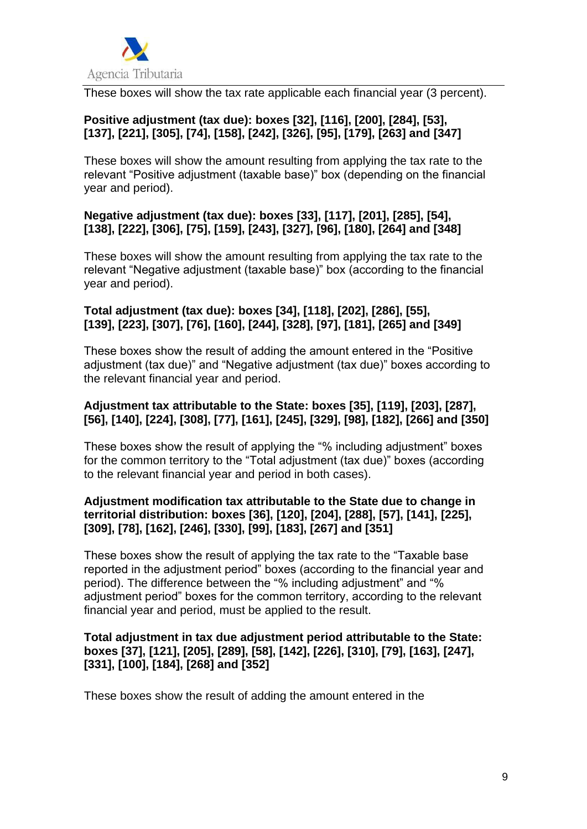

These boxes will show the tax rate applicable each financial year (3 percent).

## **Positive adjustment (tax due): boxes [32], [116], [200], [284], [53], [137], [221], [305], [74], [158], [242], [326], [95], [179], [263] and [347]**

These boxes will show the amount resulting from applying the tax rate to the relevant "Positive adjustment (taxable base)" box (depending on the financial year and period).

## **Negative adjustment (tax due): boxes [33], [117], [201], [285], [54], [138], [222], [306], [75], [159], [243], [327], [96], [180], [264] and [348]**

These boxes will show the amount resulting from applying the tax rate to the relevant "Negative adjustment (taxable base)" box (according to the financial year and period).

## **Total adjustment (tax due): boxes [34], [118], [202], [286], [55], [139], [223], [307], [76], [160], [244], [328], [97], [181], [265] and [349]**

These boxes show the result of adding the amount entered in the "Positive adjustment (tax due)" and "Negative adjustment (tax due)" boxes according to the relevant financial year and period.

## **Adjustment tax attributable to the State: boxes [35], [119], [203], [287], [56], [140], [224], [308], [77], [161], [245], [329], [98], [182], [266] and [350]**

These boxes show the result of applying the "% including adjustment" boxes for the common territory to the "Total adjustment (tax due)" boxes (according to the relevant financial year and period in both cases).

## **Adjustment modification tax attributable to the State due to change in territorial distribution: boxes [36], [120], [204], [288], [57], [141], [225], [309], [78], [162], [246], [330], [99], [183], [267] and [351]**

These boxes show the result of applying the tax rate to the "Taxable base reported in the adjustment period" boxes (according to the financial year and period). The difference between the "% including adjustment" and "% adjustment period" boxes for the common territory, according to the relevant financial year and period, must be applied to the result.

## **Total adjustment in tax due adjustment period attributable to the State: boxes [37], [121], [205], [289], [58], [142], [226], [310], [79], [163], [247], [331], [100], [184], [268] and [352]**

These boxes show the result of adding the amount entered in the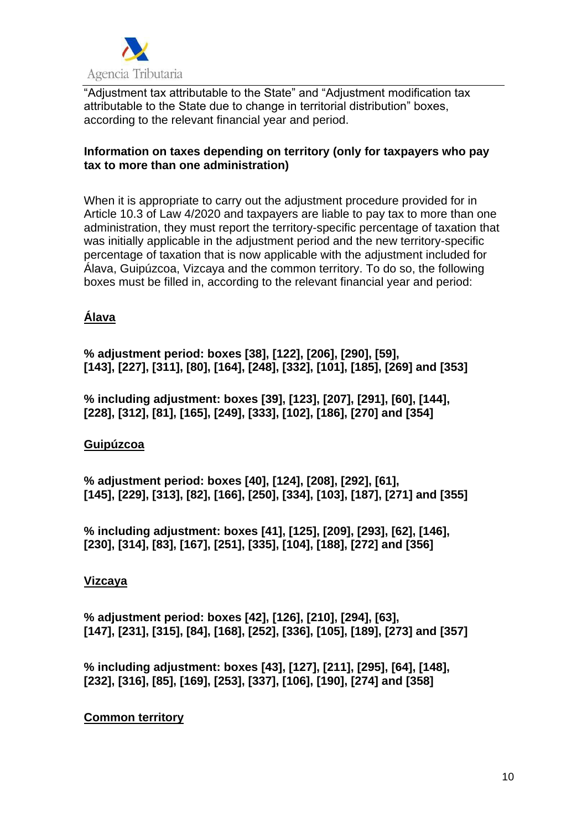

"Adjustment tax attributable to the State" and "Adjustment modification tax attributable to the State due to change in territorial distribution" boxes, according to the relevant financial year and period.

#### **Information on taxes depending on territory (only for taxpayers who pay tax to more than one administration)**

When it is appropriate to carry out the adjustment procedure provided for in Article 10.3 of Law 4/2020 and taxpayers are liable to pay tax to more than one administration, they must report the territory-specific percentage of taxation that was initially applicable in the adjustment period and the new territory-specific percentage of taxation that is now applicable with the adjustment included for Álava, Guipúzcoa, Vizcaya and the common territory. To do so, the following boxes must be filled in, according to the relevant financial year and period:

# **Álava**

**% adjustment period: boxes [38], [122], [206], [290], [59], [143], [227], [311], [80], [164], [248], [332], [101], [185], [269] and [353]**

**% including adjustment: boxes [39], [123], [207], [291], [60], [144], [228], [312], [81], [165], [249], [333], [102], [186], [270] and [354]**

# **Guipúzcoa**

**% adjustment period: boxes [40], [124], [208], [292], [61], [145], [229], [313], [82], [166], [250], [334], [103], [187], [271] and [355]**

**% including adjustment: boxes [41], [125], [209], [293], [62], [146], [230], [314], [83], [167], [251], [335], [104], [188], [272] and [356]**

# **Vizcaya**

**% adjustment period: boxes [42], [126], [210], [294], [63], [147], [231], [315], [84], [168], [252], [336], [105], [189], [273] and [357]**

**% including adjustment: boxes [43], [127], [211], [295], [64], [148], [232], [316], [85], [169], [253], [337], [106], [190], [274] and [358]**

## **Common territory**